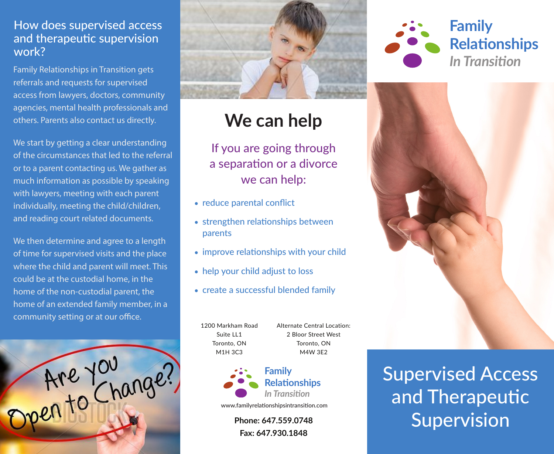## How does supervised access and therapeutic supervision work?

Family Relationships in Transition gets referrals and requests for supervised access from lawyers, doctors, community agencies, mental health professionals and others. Parents also contact us directly.

We start by getting a clear understanding of the circumstances that led to the referral or to a parent contacting us. We gather as much information as possible by speaking with lawyers, meeting with each parent individually, meeting the child/children, and reading court related documents.

We then determine and agree to a length of time for supervised visits and the place where the child and parent will meet. This could be at the custodial home, in the home of the non-custodial parent, the home of an extended family member, in a community setting or at our office.





## **We can help**

If you are going through a separation or a divorce we can help:

- reduce parental conflict
- strengthen relationships between parents
- improve relationships with your child
- help your child adjust to loss
- create a successful blended family

1200 Markham Road Suite LL1 Toronto, ON M1H 3C3

Alternate Central Location: 2 Bloor Street West Toronto, ON M4W 3E2



www.familyrelationshipsintransition.com

**Phone: 647.559.0748 Fax: 647.930.1848**





Supervised Access and Therapeutic Supervision